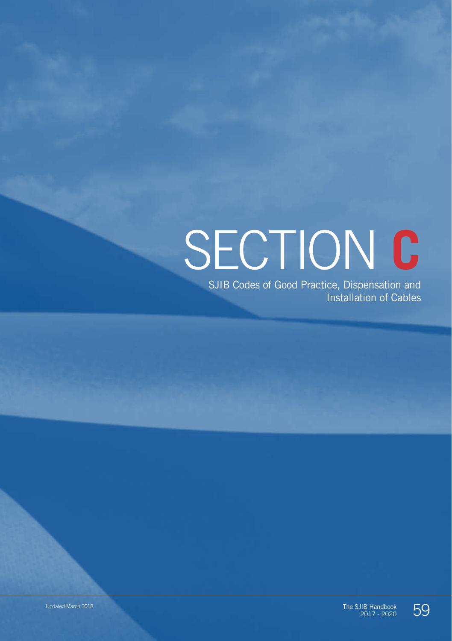# SECTION **C**

SJIB Codes of Good Practice, Dispensation and Installation of Cables



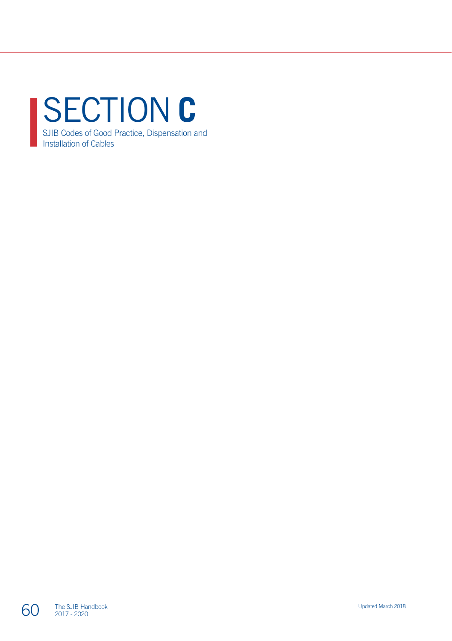SECTION **C** SJIB Codes of Good Practice, Dispensation and Installation of Cables

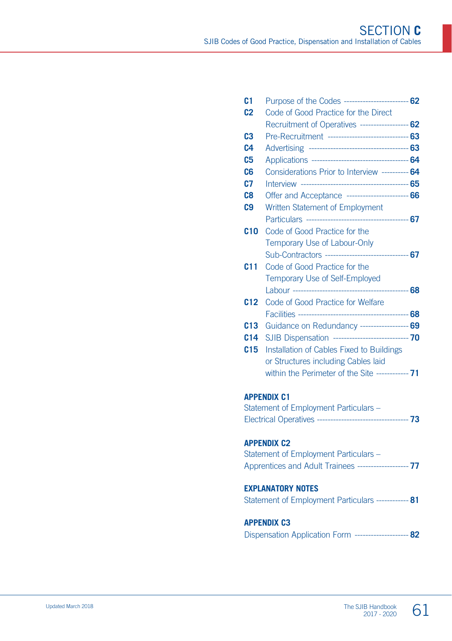| C <sub>1</sub>  | Purpose of the Codes ------------------------- 62       |  |
|-----------------|---------------------------------------------------------|--|
| C <sub>2</sub>  | Code of Good Practice for the Direct                    |  |
|                 | Recruitment of Operatives ------------------- 62        |  |
| C <sub>3</sub>  | Pre-Recruitment ------------------------------ 63       |  |
| C <sub>4</sub>  |                                                         |  |
| C <sub>5</sub>  |                                                         |  |
| C6              | Considerations Prior to Interview ---------- 64         |  |
| C <sub>7</sub>  |                                                         |  |
| C <sub>8</sub>  | Offer and Acceptance ------------------------ 66        |  |
| C <sub>9</sub>  | Written Statement of Employment                         |  |
|                 |                                                         |  |
| <b>C10</b>      | Code of Good Practice for the                           |  |
|                 | Temporary Use of Labour-Only                            |  |
|                 | Sub-Contractors --------------------------------- 67    |  |
| C <sub>11</sub> | Code of Good Practice for the                           |  |
|                 | Temporary Use of Self-Employed                          |  |
|                 |                                                         |  |
| C <sub>12</sub> | Code of Good Practice for Welfare                       |  |
|                 |                                                         |  |
| C <sub>13</sub> | Guidance on Redundancy ------------------ 69            |  |
| C <sub>14</sub> | SJIB Dispensation ---------------------------- 70       |  |
| C <sub>15</sub> | Installation of Cables Fixed to Buildings               |  |
|                 | or Structures including Cables laid                     |  |
|                 | within the Perimeter of the Site ------------ <b>71</b> |  |
|                 |                                                         |  |

#### **APPENDIX C1**

| Statement of Employment Particulars - |       |
|---------------------------------------|-------|
| Electrical Operatives ------          | $-73$ |

#### **APPENDIX C2**

| Statement of Employment Particulars -                  |  |
|--------------------------------------------------------|--|
| Apprentices and Adult Trainees -------------------- 77 |  |

#### **EXPLANATORY NOTES**

| Statement of Employment Particulars ------------ 81 |  |  |  |  |
|-----------------------------------------------------|--|--|--|--|
|-----------------------------------------------------|--|--|--|--|

#### **APPENDIX C3**

|  |  |  | Dispensation Application Form -------------------- 82 |  |  |  |
|--|--|--|-------------------------------------------------------|--|--|--|
|--|--|--|-------------------------------------------------------|--|--|--|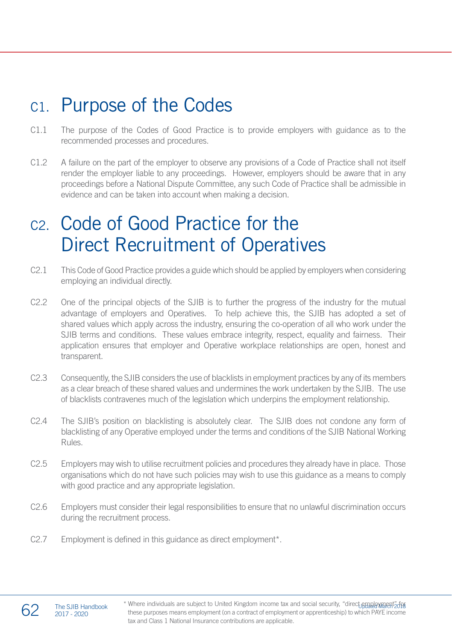### C1. Purpose of the Codes

- C1.1 The purpose of the Codes of Good Practice is to provide employers with guidance as to the recommended processes and procedures.
- C1.2 A failure on the part of the employer to observe any provisions of a Code of Practice shall not itself render the employer liable to any proceedings. However, employers should be aware that in any proceedings before a National Dispute Committee, any such Code of Practice shall be admissible in evidence and can be taken into account when making a decision.

# C2. Code of Good Practice for the Direct Recruitment of Operatives

- C2.1 This Code of Good Practice provides a guide which should be applied by employers when considering employing an individual directly.
- C2.2 One of the principal objects of the SJIB is to further the progress of the industry for the mutual advantage of employers and Operatives. To help achieve this, the SJIB has adopted a set of shared values which apply across the industry, ensuring the co-operation of all who work under the SJIB terms and conditions. These values embrace integrity, respect, equality and fairness. Their application ensures that employer and Operative workplace relationships are open, honest and transparent.
- C2.3 Consequently, the SJIB considers the use of blacklists in employment practices by any of its members as a clear breach of these shared values and undermines the work undertaken by the SJIB. The use of blacklists contravenes much of the legislation which underpins the employment relationship.
- C2.4 The SJIB's position on blacklisting is absolutely clear. The SJIB does not condone any form of blacklisting of any Operative employed under the terms and conditions of the SJIB National Working Rules.
- C2.5 Employers may wish to utilise recruitment policies and procedures they already have in place. Those organisations which do not have such policies may wish to use this guidance as a means to comply with good practice and any appropriate legislation.
- C2.6 Employers must consider their legal responsibilities to ensure that no unlawful discrimination occurs during the recruitment process.
- C2.7 Employment is defined in this guidance as direct employment\*.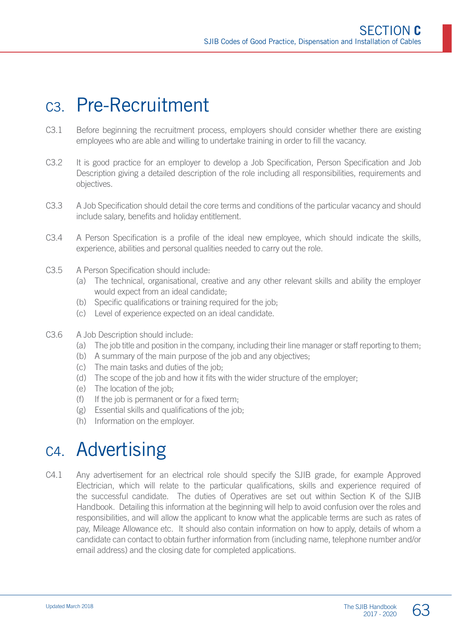### C3. Pre-Recruitment

- C3.1 Before beginning the recruitment process, employers should consider whether there are existing employees who are able and willing to undertake training in order to fill the vacancy.
- C3.2 It is good practice for an employer to develop a Job Specification, Person Specification and Job Description giving a detailed description of the role including all responsibilities, requirements and objectives.
- C3.3 A Job Specification should detail the core terms and conditions of the particular vacancy and should include salary, benefits and holiday entitlement.
- C3.4 A Person Specification is a profile of the ideal new employee, which should indicate the skills, experience, abilities and personal qualities needed to carry out the role.
- C3.5 A Person Specification should include:
	- (a) The technical, organisational, creative and any other relevant skills and ability the employer would expect from an ideal candidate;
	- (b) Specific qualifications or training required for the job;
	- (c) Level of experience expected on an ideal candidate.
- C3.6 A Job Description should include:
	- (a) The job title and position in the company, including their line manager or staff reporting to them;
	- (b) A summary of the main purpose of the job and any objectives;
	- (c) The main tasks and duties of the job;
	- (d) The scope of the job and how it fits with the wider structure of the employer;
	- (e) The location of the job;
	- (f) If the job is permanent or for a fixed term;
	- (g) Essential skills and qualifications of the job;
	- (h) Information on the employer.

# C4. Advertising

C4.1 Any advertisement for an electrical role should specify the SJIB grade, for example Approved Electrician, which will relate to the particular qualifications, skills and experience required of the successful candidate. The duties of Operatives are set out within Section K of the SJIB Handbook. Detailing this information at the beginning will help to avoid confusion over the roles and responsibilities, and will allow the applicant to know what the applicable terms are such as rates of pay, Mileage Allowance etc. It should also contain information on how to apply, details of whom a candidate can contact to obtain further information from (including name, telephone number and/or email address) and the closing date for completed applications.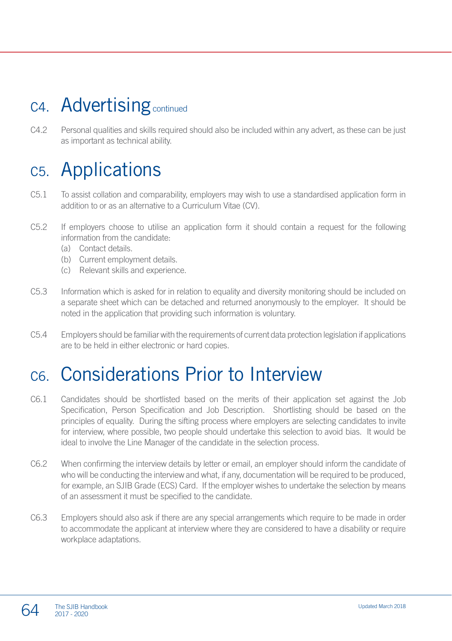# C4. Advertising continued

C4.2 Personal qualities and skills required should also be included within any advert, as these can be just as important as technical ability.

# C5. Applications

- C5.1 To assist collation and comparability, employers may wish to use a standardised application form in addition to or as an alternative to a Curriculum Vitae (CV).
- C5.2 If employers choose to utilise an application form it should contain a request for the following information from the candidate:
	- (a) Contact details.
	- (b) Current employment details.
	- (c) Relevant skills and experience.
- C5.3 Information which is asked for in relation to equality and diversity monitoring should be included on a separate sheet which can be detached and returned anonymously to the employer. It should be noted in the application that providing such information is voluntary.
- C5.4 Employers should be familiar with the requirements of current data protection legislation if applications are to be held in either electronic or hard copies.

# C6. Considerations Prior to Interview

- C6.1 Candidates should be shortlisted based on the merits of their application set against the Job Specification, Person Specification and Job Description. Shortlisting should be based on the principles of equality. During the sifting process where employers are selecting candidates to invite for interview, where possible, two people should undertake this selection to avoid bias. It would be ideal to involve the Line Manager of the candidate in the selection process.
- C6.2 When confirming the interview details by letter or email, an employer should inform the candidate of who will be conducting the interview and what, if any, documentation will be required to be produced. for example, an SJIB Grade (ECS) Card. If the employer wishes to undertake the selection by means of an assessment it must be specified to the candidate.
- C6.3 Employers should also ask if there are any special arrangements which require to be made in order to accommodate the applicant at interview where they are considered to have a disability or require workplace adaptations.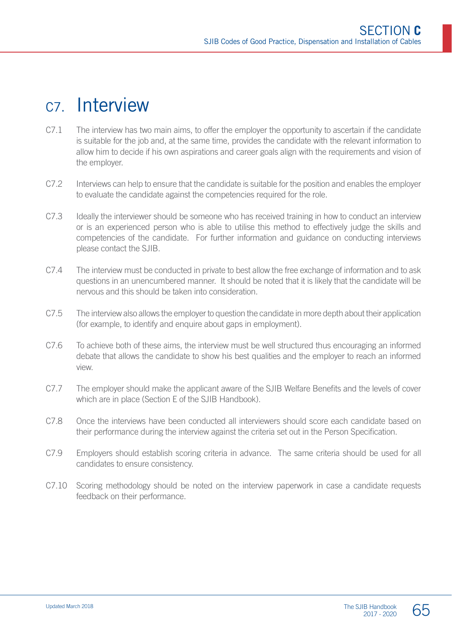### C7. Interview

- C7.1 The interview has two main aims, to offer the employer the opportunity to ascertain if the candidate is suitable for the job and, at the same time, provides the candidate with the relevant information to allow him to decide if his own aspirations and career goals align with the requirements and vision of the employer.
- C7.2 Interviews can help to ensure that the candidate is suitable for the position and enables the employer to evaluate the candidate against the competencies required for the role.
- C7.3 Ideally the interviewer should be someone who has received training in how to conduct an interview or is an experienced person who is able to utilise this method to effectively judge the skills and competencies of the candidate. For further information and guidance on conducting interviews please contact the SJIB.
- C7.4 The interview must be conducted in private to best allow the free exchange of information and to ask questions in an unencumbered manner. It should be noted that it is likely that the candidate will be nervous and this should be taken into consideration.
- C7.5 The interview also allows the employer to question the candidate in more depth about their application (for example, to identify and enquire about gaps in employment).
- C7.6 To achieve both of these aims, the interview must be well structured thus encouraging an informed debate that allows the candidate to show his best qualities and the employer to reach an informed view.
- C7.7 The employer should make the applicant aware of the SJIB Welfare Benefits and the levels of cover which are in place (Section E of the SJIB Handbook).
- C7.8 Once the interviews have been conducted all interviewers should score each candidate based on their performance during the interview against the criteria set out in the Person Specification.
- C7.9 Employers should establish scoring criteria in advance. The same criteria should be used for all candidates to ensure consistency.
- C7.10 Scoring methodology should be noted on the interview paperwork in case a candidate requests feedback on their performance.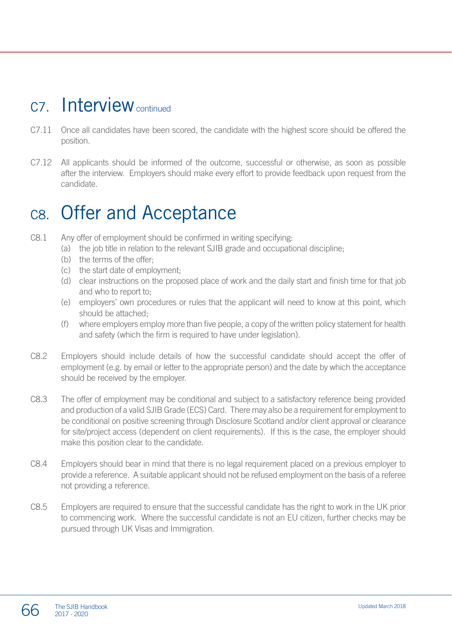### C7. Interview continued

- C7.11 Once all candidates have been scored, the candidate with the highest score should be offered the position.
- C7.12 All applicants should be informed of the outcome, successful or otherwise, as soon as possible after the interview. Employers should make every effort to provide feedback upon request from the candidate.

# C8. Offer and Acceptance

- C8.1 Any offer of employment should be confirmed in writing specifying:
	- (a) the job title in relation to the relevant SJIB grade and occupational discipline;
	- (b) the terms of the offer-
	- (c) the start date of employment;
	- (d) clear instructions on the proposed place of work and the daily start and finish time for that job and who to report to;
	- (e) employers' own procedures or rules that the applicant will need to know at this point, which should be attached;
	- (f) where employers employ more than five people, a copy of the written policy statement for health and safety (which the firm is required to have under legislation).
- C8.2 Employers should include details of how the successful candidate should accept the offer of employment (e.g. by email or letter to the appropriate person) and the date by which the acceptance should be received by the employer.
- C8.3 The offer of employment may be conditional and subject to a satisfactory reference being provided and production of a valid SJIB Grade (ECS) Card. There may also be a requirement for employment to be conditional on positive screening through Disclosure Scotland and/or client approval or clearance for site/project access (dependent on client requirements). If this is the case, the employer should make this position clear to the candidate.
- C8.4 Employers should bear in mind that there is no legal requirement placed on a previous employer to provide a reference. A suitable applicant should not be refused employment on the basis of a referee not providing a reference.
- C8.5 Employers are required to ensure that the successful candidate has the right to work in the UK prior to commencing work. Where the successful candidate is not an EU citizen, further checks may be pursued through UK Visas and Immigration.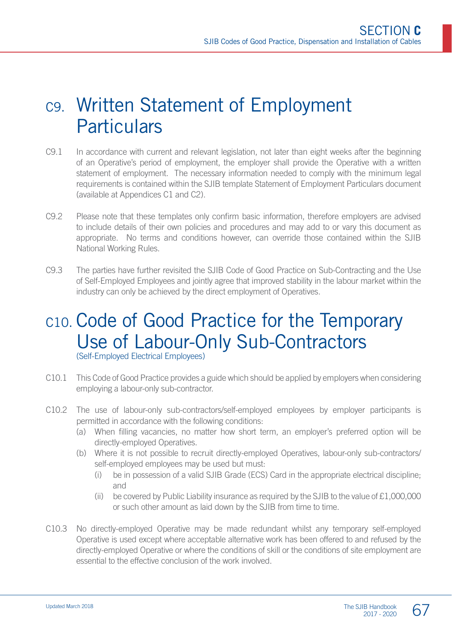# C9. Written Statement of Employment **Particulars**

- C9.1 In accordance with current and relevant legislation, not later than eight weeks after the beginning of an Operative's period of employment, the employer shall provide the Operative with a written statement of employment. The necessary information needed to comply with the minimum legal requirements is contained within the SJIB template Statement of Employment Particulars document (available at Appendices C1 and C2).
- C9.2 Please note that these templates only confirm basic information, therefore employers are advised to include details of their own policies and procedures and may add to or vary this document as appropriate. No terms and conditions however, can override those contained within the SJIB National Working Rules.
- C9.3 The parties have further revisited the SJIB Code of Good Practice on Sub-Contracting and the Use of Self-Employed Employees and jointly agree that improved stability in the labour market within the industry can only be achieved by the direct employment of Operatives.

### C10. Code of Good Practice for the Temporary Use of Labour-Only Sub-Contractors (Self-Employed Electrical Employees)

- C10.1 This Code of Good Practice provides a guide which should be applied by employers when considering employing a labour-only sub-contractor.
- C10.2 The use of labour-only sub-contractors/self-employed employees by employer participants is permitted in accordance with the following conditions:
	- (a) When filling vacancies, no matter how short term, an employer's preferred option will be directly-employed Operatives.
	- (b) Where it is not possible to recruit directly-employed Operatives, labour-only sub-contractors/ self-employed employees may be used but must:
		- (i) be in possession of a valid SJIB Grade (ECS) Card in the appropriate electrical discipline; and
		- (ii) be covered by Public Liability insurance as required by the SJIB to the value of  $£1,000,000$ or such other amount as laid down by the SJIB from time to time.
- C10.3 No directly-employed Operative may be made redundant whilst any temporary self-employed Operative is used except where acceptable alternative work has been offered to and refused by the directly-employed Operative or where the conditions of skill or the conditions of site employment are essential to the effective conclusion of the work involved.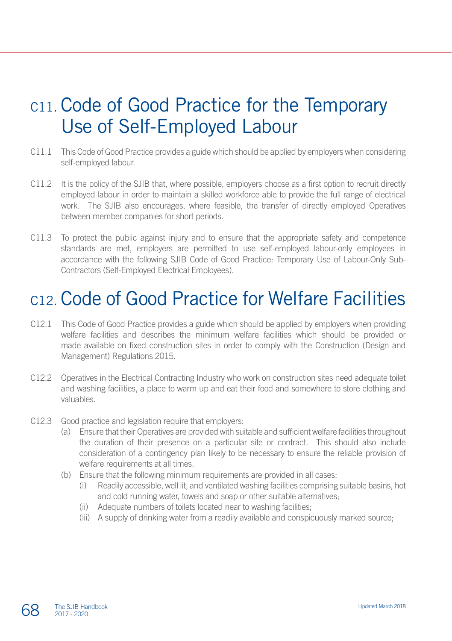# C11. Code of Good Practice for the Temporary Use of Self-Employed Labour

- C11.1 This Code of Good Practice provides a guide which should be applied by employers when considering self-employed labour.
- C11.2 It is the policy of the SJIB that, where possible, employers choose as a first option to recruit directly employed labour in order to maintain a skilled workforce able to provide the full range of electrical work. The SJIB also encourages, where feasible, the transfer of directly employed Operatives between member companies for short periods.
- C11.3 To protect the public against injury and to ensure that the appropriate safety and competence standards are met, employers are permitted to use self-employed labour-only employees in accordance with the following SJIB Code of Good Practice: Temporary Use of Labour-Only Sub-Contractors (Self-Employed Electrical Employees).

# C12. Code of Good Practice for Welfare Facilities

- C12.1 This Code of Good Practice provides a guide which should be applied by employers when providing welfare facilities and describes the minimum welfare facilities which should be provided or made available on fixed construction sites in order to comply with the Construction (Design and Management) Regulations 2015.
- C12.2 Operatives in the Electrical Contracting Industry who work on construction sites need adequate toilet and washing facilities, a place to warm up and eat their food and somewhere to store clothing and valuables.
- C12.3 Good practice and legislation require that employers:
	- (a) Ensure that their Operatives are provided with suitable and sufficient welfare facilities throughout the duration of their presence on a particular site or contract. This should also include consideration of a contingency plan likely to be necessary to ensure the reliable provision of welfare requirements at all times.
	- (b) Ensure that the following minimum requirements are provided in all cases:
		- (i) Readily accessible, well lit, and ventilated washing facilities comprising suitable basins, hot and cold running water, towels and soap or other suitable alternatives;
		- (ii) Adequate numbers of toilets located near to washing facilities;
		- (iii) A supply of drinking water from a readily available and conspicuously marked source;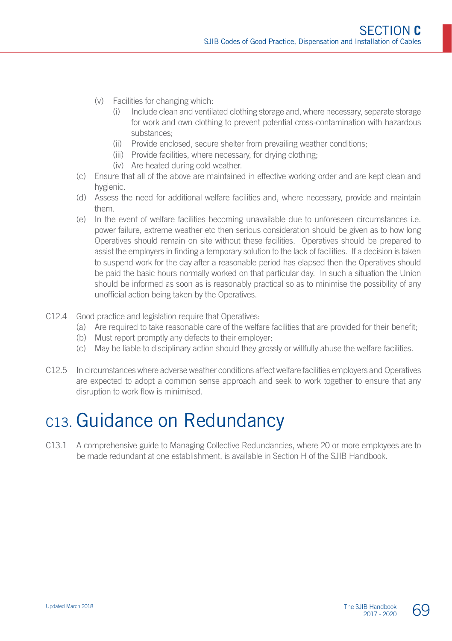- (v) Facilities for changing which:
	- (i) Include clean and ventilated clothing storage and, where necessary, separate storage for work and own clothing to prevent potential cross-contamination with hazardous substances;
	- (ii) Provide enclosed, secure shelter from prevailing weather conditions;
	- (iii) Provide facilities, where necessary, for drying clothing;
	- (iv) Are heated during cold weather.
- (c) Ensure that all of the above are maintained in effective working order and are kept clean and hygienic.
- (d) Assess the need for additional welfare facilities and, where necessary, provide and maintain them.
- (e) In the event of welfare facilities becoming unavailable due to unforeseen circumstances i.e. power failure, extreme weather etc then serious consideration should be given as to how long Operatives should remain on site without these facilities. Operatives should be prepared to assist the employers in finding a temporary solution to the lack of facilities. If a decision is taken to suspend work for the day after a reasonable period has elapsed then the Operatives should be paid the basic hours normally worked on that particular day. In such a situation the Union should be informed as soon as is reasonably practical so as to minimise the possibility of any unofficial action being taken by the Operatives.
- C12.4 Good practice and legislation require that Operatives:
	- (a) Are required to take reasonable care of the welfare facilities that are provided for their benefit;
	- (b) Must report promptly any defects to their employer;
	- (c) May be liable to disciplinary action should they grossly or willfully abuse the welfare facilities.
- C12.5 In circumstances where adverse weather conditions affect welfare facilities employers and Operatives are expected to adopt a common sense approach and seek to work together to ensure that any disruption to work flow is minimised.

### C13. Guidance on Redundancy

C13.1 A comprehensive guide to Managing Collective Redundancies, where 20 or more employees are to be made redundant at one establishment, is available in Section H of the SJIB Handbook.

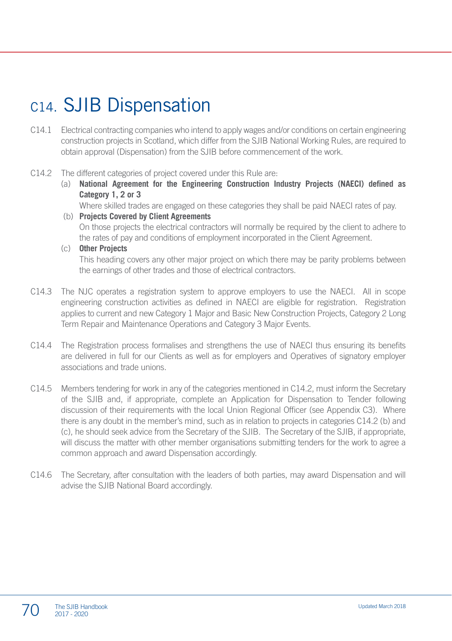# C14. SJIB Dispensation

- C14.1 Electrical contracting companies who intend to apply wages and/or conditions on certain engineering construction projects in Scotland, which differ from the SJIB National Working Rules, are required to obtain approval (Dispensation) from the SJIB before commencement of the work.
- C14.2 The different categories of project covered under this Rule are:
	- (a) **National Agreement for the Engineering Construction Industry Projects (NAECI) defined as Category 1, 2 or 3**

Where skilled trades are engaged on these categories they shall be paid NAECI rates of pay.

- (b) **Projects Covered by Client Agreements** On those projects the electrical contractors will normally be required by the client to adhere to the rates of pay and conditions of employment incorporated in the Client Agreement.
- (c) **Other Projects** This heading covers any other major project on which there may be parity problems between the earnings of other trades and those of electrical contractors.
- C14.3 The NJC operates a registration system to approve employers to use the NAECI. All in scope engineering construction activities as defined in NAECI are eligible for registration. Registration applies to current and new Category 1 Major and Basic New Construction Projects, Category 2 Long Term Repair and Maintenance Operations and Category 3 Major Events.
- C14.4 The Registration process formalises and strengthens the use of NAECI thus ensuring its benefits are delivered in full for our Clients as well as for employers and Operatives of signatory employer associations and trade unions.
- C14.5 Members tendering for work in any of the categories mentioned in C14.2, must inform the Secretary of the SJIB and, if appropriate, complete an Application for Dispensation to Tender following discussion of their requirements with the local Union Regional Officer (see Appendix C3). Where there is any doubt in the member's mind, such as in relation to projects in categories C14.2 (b) and (c), he should seek advice from the Secretary of the SJIB. The Secretary of the SJIB, if appropriate, will discuss the matter with other member organisations submitting tenders for the work to agree a common approach and award Dispensation accordingly.
- C14.6 The Secretary, after consultation with the leaders of both parties, may award Dispensation and will advise the SJIB National Board accordingly.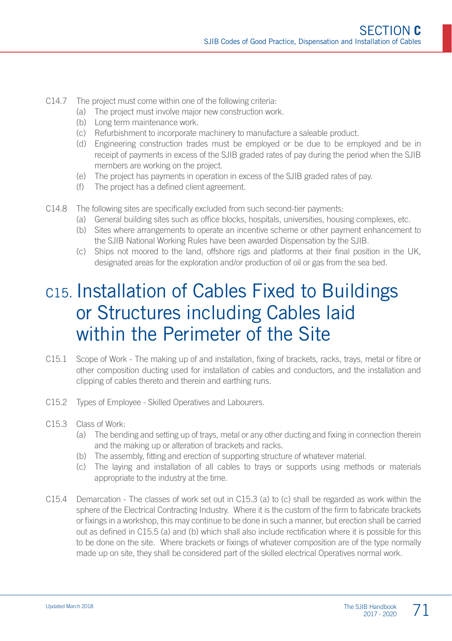- C14.7 The project must come within one of the following criteria:
	- (a) The project must involve major new construction work.
	- (b) Long term maintenance work.
	- (c) Refurbishment to incorporate machinery to manufacture a saleable product.
	- (d) Engineering construction trades must be employed or be due to be employed and be in receipt of payments in excess of the SJIB graded rates of pay during the period when the SJIB members are working on the project.
	- (e) The project has payments in operation in excess of the SJIB graded rates of pay.
	- (f) The project has a defined client agreement.
- C14.8 The following sites are specifically excluded from such second-tier payments:
	- (a) General building sites such as office blocks, hospitals, universities, housing complexes, etc.
	- (b) Sites where arrangements to operate an incentive scheme or other payment enhancement to the SJIB National Working Rules have been awarded Dispensation by the SJIB.
	- (c) Ships not moored to the land, offshore rigs and platforms at their final position in the UK, designated areas for the exploration and/or production of oil or gas from the sea bed.

# C15. Installation of Cables Fixed to Buildings or Structures including Cables laid within the Perimeter of the Site

- C15.1 Scope of Work The making up of and installation, fixing of brackets, racks, trays, metal or fibre or other composition ducting used for installation of cables and conductors, and the installation and clipping of cables thereto and therein and earthing runs.
- C15.2 Types of Employee Skilled Operatives and Labourers.
- C15.3 Class of Work:
	- (a) The bending and setting up of trays, metal or any other ducting and fixing in connection therein and the making up or alteration of brackets and racks.
	- (b) The assembly, fitting and erection of supporting structure of whatever material.
	- (c) The laying and installation of all cables to trays or supports using methods or materials appropriate to the industry at the time.
- C15.4 Demarcation The classes of work set out in C15.3 (a) to (c) shall be regarded as work within the sphere of the Electrical Contracting Industry. Where it is the custom of the firm to fabricate brackets or fixings in a workshop, this may continue to be done in such a manner, but erection shall be carried out as defined in C15.5 (a) and (b) which shall also include rectification where it is possible for this to be done on the site. Where brackets or fixings of whatever composition are of the type normally made up on site, they shall be considered part of the skilled electrical Operatives normal work.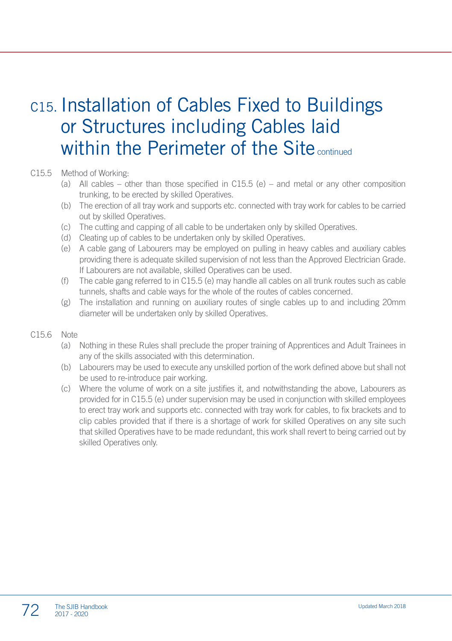# C15. Installation of Cables Fixed to Buildings or Structures including Cables laid within the Perimeter of the Site continued

#### C15.5 Method of Working:

- (a) All cables other than those specified in C15.5 (e) and metal or any other composition trunking, to be erected by skilled Operatives.
- (b) The erection of all tray work and supports etc. connected with tray work for cables to be carried out by skilled Operatives.
- (c) The cutting and capping of all cable to be undertaken only by skilled Operatives.
- (d) Cleating up of cables to be undertaken only by skilled Operatives.
- (e) A cable gang of Labourers may be employed on pulling in heavy cables and auxiliary cables providing there is adequate skilled supervision of not less than the Approved Electrician Grade. If Labourers are not available, skilled Operatives can be used.
- (f) The cable gang referred to in C15.5 (e) may handle all cables on all trunk routes such as cable tunnels, shafts and cable ways for the whole of the routes of cables concerned.
- (g) The installation and running on auxiliary routes of single cables up to and including 20mm diameter will be undertaken only by skilled Operatives.

#### C15.6 Note

- (a) Nothing in these Rules shall preclude the proper training of Apprentices and Adult Trainees in any of the skills associated with this determination.
- (b) Labourers may be used to execute any unskilled portion of the work defined above but shall not be used to re-introduce pair working.
- (c) Where the volume of work on a site justifies it, and notwithstanding the above, Labourers as provided for in C15.5 (e) under supervision may be used in conjunction with skilled employees to erect tray work and supports etc. connected with tray work for cables, to fix brackets and to clip cables provided that if there is a shortage of work for skilled Operatives on any site such that skilled Operatives have to be made redundant, this work shall revert to being carried out by skilled Operatives only.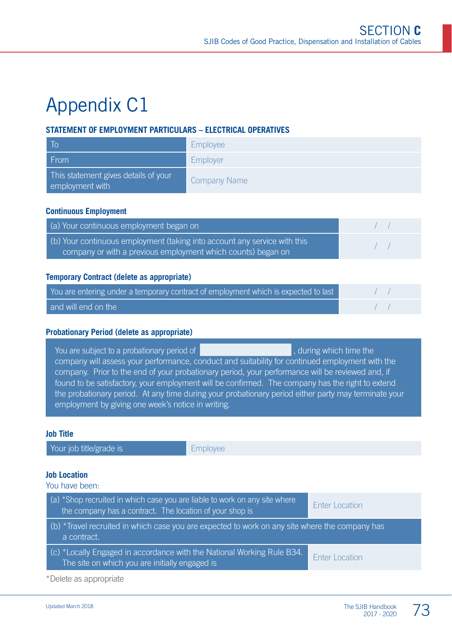# Appendix C1

#### **STATEMENT OF EMPLOYMENT PARTICULARS – ELECTRICAL OPERATIVES**

| . To                                                    | Employee            |
|---------------------------------------------------------|---------------------|
| From                                                    | Employer            |
| This statement gives details of your<br>employment with | <b>Company Name</b> |

#### **Continuous Employment**

| (a) Your continuous employment began on                                                                                                   |  |
|-------------------------------------------------------------------------------------------------------------------------------------------|--|
| (b) Your continuous employment (taking into account any service with this<br>company or with a previous employment which counts) began on |  |

#### **Temporary Contract (delete as appropriate)**

| You are entering under a temporary contract of employment which is expected to last |  |
|-------------------------------------------------------------------------------------|--|
| and will end on the                                                                 |  |

#### **Probationary Period (delete as appropriate)**

You are subject to a probationary period of quality and the state of  $\vert$ , during which time the company will assess your performance, conduct and suitability for continued employment with the company. Prior to the end of your probationary period, your performance will be reviewed and, if found to be satisfactory, your employment will be confirmed. The company has the right to extend the probationary period. At any time during your probationary period either party may terminate your employment by giving one week's notice in writing.

#### **Job Title**

Your job title/grade is **Employee** 

#### **Job Location**

You have been:

| (a) *Shop recruited in which case you are liable to work on any site where<br>the company has a contract. The location of your shop is | Enter Location        |
|----------------------------------------------------------------------------------------------------------------------------------------|-----------------------|
| (b) *Travel recruited in which case you are expected to work on any site where the company has<br>a contract.                          |                       |
| $\mid$ (c) *Locally Engaged in accordance with the National Working Rule B34.<br>The site on which you are initially engaged is        | <b>Enter Location</b> |

\*Delete as appropriate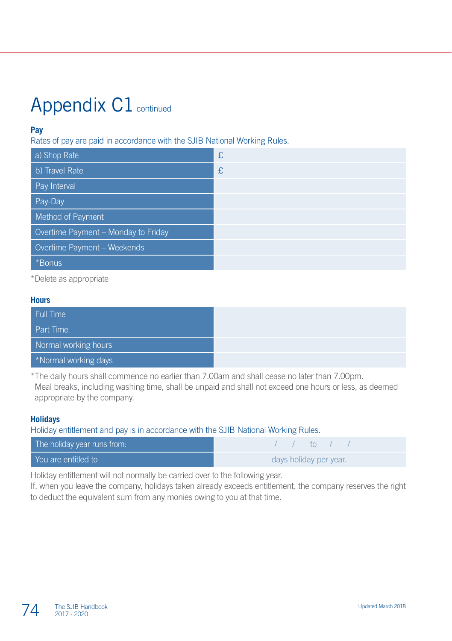# Appendix C1 continued

#### **Pay**

Rates of pay are paid in accordance with the SJIB National Working Rules.

| a) Shop Rate                        | £ |
|-------------------------------------|---|
| b) Travel Rate                      | £ |
| Pay Interval                        |   |
| Pay-Day                             |   |
| Method of Payment                   |   |
| Overtime Payment - Monday to Friday |   |
| Overtime Payment - Weekends         |   |
| *Bonus                              |   |

\*Delete as appropriate

#### **Hours**

| Full Time            |
|----------------------|
| <b>Part Time</b>     |
| Normal working hours |
| *Normal working days |

\*The daily hours shall commence no earlier than 7.00am and shall cease no later than 7.00pm. Meal breaks, including washing time, shall be unpaid and shall not exceed one hours or less, as deemed appropriate by the company.

#### **Holidays**

Holiday entitlement and pay is in accordance with the SJIB National Working Rules.

| The holiday year runs from: | $\sqrt{1}$ to $\sqrt{1}$ |
|-----------------------------|--------------------------|
| You are entitled to         | days holiday per year.   |

Holiday entitlement will not normally be carried over to the following year.

If, when you leave the company, holidays taken already exceeds entitlement, the company reserves the right to deduct the equivalent sum from any monies owing to you at that time.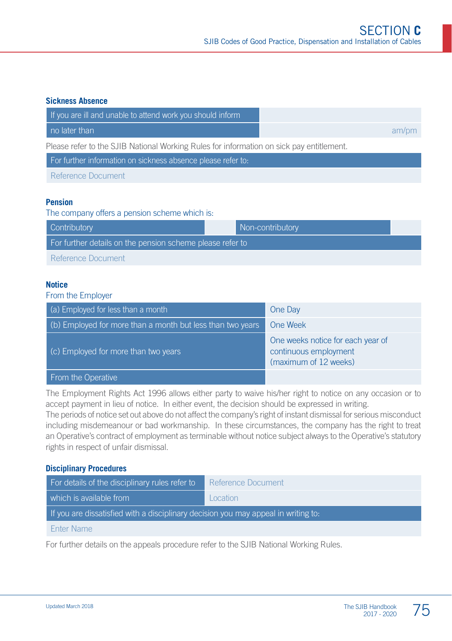#### **Sickness Absence**

| If you are ill and unable to attend work you should inform                               |       |
|------------------------------------------------------------------------------------------|-------|
| no later than                                                                            | am/pm |
| Please refer to the SJIB National Working Rules for information on sick pay entitlement. |       |
| For further information on sickness absence please refer to:                             |       |
| Reference Document                                                                       |       |

#### **Pension**

#### The company offers a pension scheme which is:

| <b>Contributory</b>                                       |  | Non-contributory |  |
|-----------------------------------------------------------|--|------------------|--|
| For further details on the pension scheme please refer to |  |                  |  |
| Reference Document                                        |  |                  |  |

#### **Notice**

#### From the Employer

| $(a)$ Employed for less than a month                       | One Day                                                                             |
|------------------------------------------------------------|-------------------------------------------------------------------------------------|
| (b) Employed for more than a month but less than two years | One Week                                                                            |
| (c) Employed for more than two years                       | One weeks notice for each year of<br>continuous employment<br>(maximum of 12 weeks) |
| From the Operative                                         |                                                                                     |

The Employment Rights Act 1996 allows either party to waive his/her right to notice on any occasion or to accept payment in lieu of notice. In either event, the decision should be expressed in writing.

The periods of notice set out above do not affect the company's right of instant dismissal for serious misconduct including misdemeanour or bad workmanship. In these circumstances, the company has the right to treat an Operative's contract of employment as terminable without notice subject always to the Operative's statutory rights in respect of unfair dismissal.

#### **Disciplinary Procedures**

| For details of the disciplinary rules refer to                                     | Reference Document |  |
|------------------------------------------------------------------------------------|--------------------|--|
| which is available from                                                            | Location           |  |
| If you are dissatisfied with a disciplinary decision you may appeal in writing to: |                    |  |
| <b>Enter Name</b>                                                                  |                    |  |
|                                                                                    |                    |  |

For further details on the appeals procedure refer to the SJIB National Working Rules.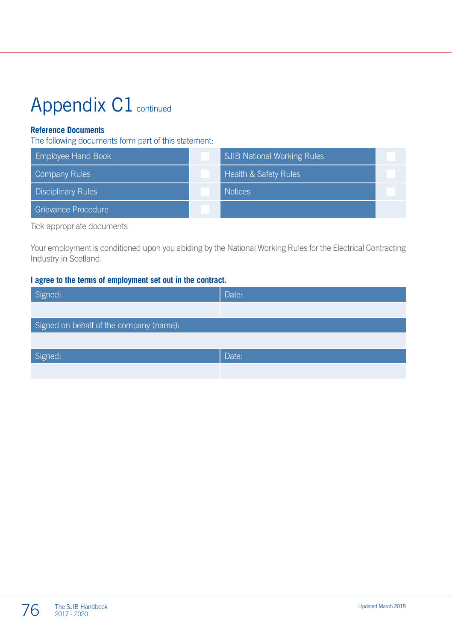# Appendix C1 continued

#### **Reference Documents**

The following documents form part of this statement:

| <b>Employee Hand Book</b> | <b>SJIB National Working Rules</b> |  |
|---------------------------|------------------------------------|--|
| <b>Company Rules</b>      | <b>Health &amp; Safety Rules</b>   |  |
| <b>Disciplinary Rules</b> | <b>Notices</b>                     |  |
| Grievance Procedure       |                                    |  |

Tick appropriate documents

Your employment is conditioned upon you abiding by the National Working Rules for the Electrical Contracting Industry in Scotland.

#### **I agree to the terms of employment set out in the contract.**

| Signed:                                 | Date: |
|-----------------------------------------|-------|
|                                         |       |
| Signed on behalf of the company (name): |       |
|                                         |       |
| Signed:                                 | Date: |
|                                         |       |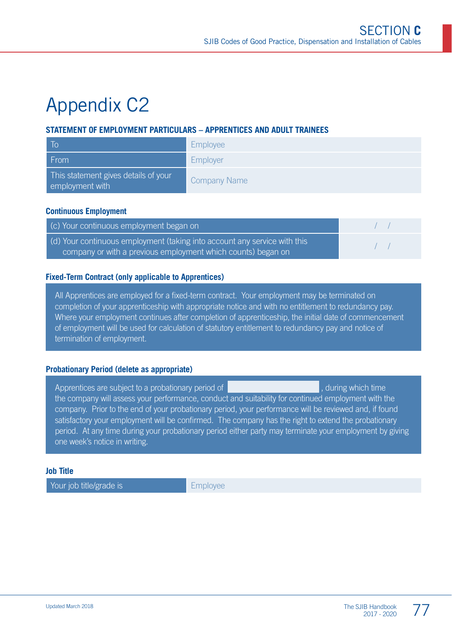# Appendix C2

#### **STATEMENT OF EMPLOYMENT PARTICULARS – APPRENTICES AND ADULT TRAINEES**

| - To                                                    | <b>Employee</b>     |
|---------------------------------------------------------|---------------------|
| From                                                    | Employer            |
| This statement gives details of your<br>employment with | <b>Company Name</b> |

#### **Continuous Employment**

| (c) Your continuous employment began on,                                                                                                  |  |
|-------------------------------------------------------------------------------------------------------------------------------------------|--|
| (d) Your continuous employment (taking into account any service with this<br>company or with a previous employment which counts) began on |  |

#### **Fixed-Term Contract (only applicable to Apprentices)**

All Apprentices are employed for a fixed-term contract. Your employment may be terminated on completion of your apprenticeship with appropriate notice and with no entitlement to redundancy pay. Where your employment continues after completion of apprenticeship, the initial date of commencement of employment will be used for calculation of statutory entitlement to redundancy pay and notice of termination of employment.

#### **Probationary Period (delete as appropriate)**

Apprentices are subject to a probationary period of **Apprentices** , during which time the company will assess your performance, conduct and suitability for continued employment with the company. Prior to the end of your probationary period, your performance will be reviewed and, if found satisfactory your employment will be confirmed. The company has the right to extend the probationary period. At any time during your probationary period either party may terminate your employment by giving one week's notice in writing.

#### **Job Title**

Your job title/grade is **Employee**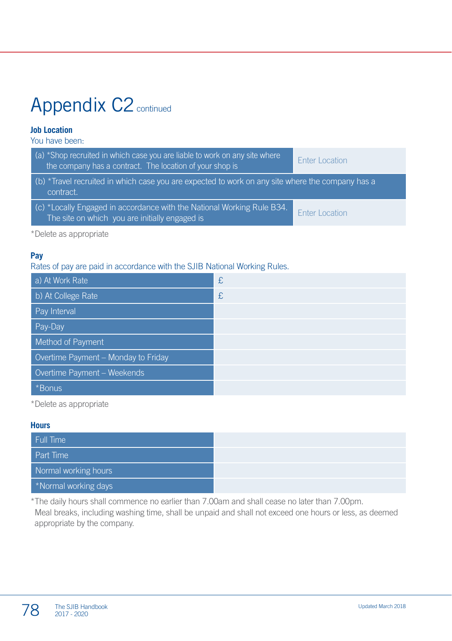# Appendix C<sub>2</sub> continued

#### **Job Location**

You have been:

| (a) *Shop recruited in which case you are liable to work on any site where<br>the company has a contract. The location of your shop is | Enter Location        |  |
|----------------------------------------------------------------------------------------------------------------------------------------|-----------------------|--|
| (b) *Travel recruited in which case you are expected to work on any site where the company has a<br>contract.                          |                       |  |
| $\mid$ (c) *Locally Engaged in accordance with the National Working Rule B34.<br>The site on which you are initially engaged is        | <b>Enter Location</b> |  |

\*Delete as appropriate

#### **Pay**

#### Rates of pay are paid in accordance with the SJIB National Working Rules.

| a) At Work Rate                     | £ |
|-------------------------------------|---|
| b) At College Rate                  | £ |
| <b>Pay Interval</b>                 |   |
| Pay-Day                             |   |
| Method of Payment                   |   |
| Overtime Payment - Monday to Friday |   |
| Overtime Payment - Weekends         |   |
| *Bonus                              |   |

\*Delete as appropriate

#### **Hours**

| Full Time            |
|----------------------|
| Part Time            |
| Normal working hours |
| *Normal working days |

\*The daily hours shall commence no earlier than 7.00am and shall cease no later than 7.00pm. Meal breaks, including washing time, shall be unpaid and shall not exceed one hours or less, as deemed appropriate by the company.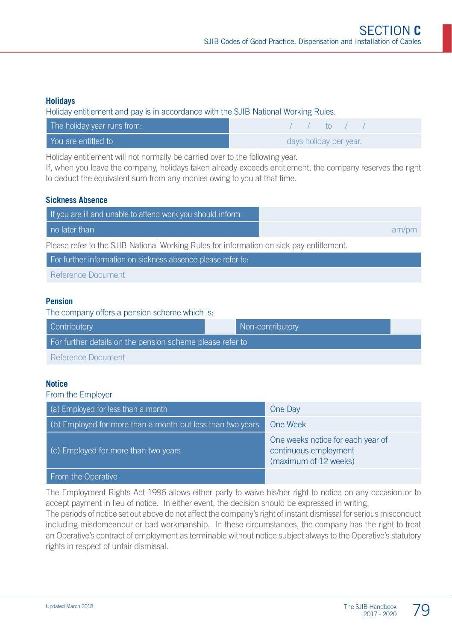#### **Holidays**

Holiday entitlement and pay is in accordance with the SJIB National Working Rules.

| The holiday year runs from: | $\sqrt{1 + \ln(1)}$    |
|-----------------------------|------------------------|
| You are entitled to         | days holiday per year. |

Holiday entitlement will not normally be carried over to the following year.

If, when you leave the company, holidays taken already exceeds entitlement, the company reserves the right to deduct the equivalent sum from any monies owing to you at that time.

#### **Sickness Absence**

| If you are ill and unable to attend work you should inform                               |       |  |
|------------------------------------------------------------------------------------------|-------|--|
| no later than                                                                            | am/pm |  |
| Please refer to the SJIB National Working Rules for information on sick pay entitlement. |       |  |
| For further information on sickness absence please refer to:                             |       |  |

Reference Document

#### **Pension**

The company offers a pension scheme which is:

| <b>Contributory</b>                                       |  | Non-contributory |  |
|-----------------------------------------------------------|--|------------------|--|
| For further details on the pension scheme please refer to |  |                  |  |
| Reference Document                                        |  |                  |  |

#### **Notice**

From the Employer

| $(a)$ Employed for less than a month                       | One Day                                                                             |
|------------------------------------------------------------|-------------------------------------------------------------------------------------|
| (b) Employed for more than a month but less than two years | One Week                                                                            |
| (c) Employed for more than two years                       | One weeks notice for each year of<br>continuous employment<br>(maximum of 12 weeks) |
| From the Operative                                         |                                                                                     |

The Employment Rights Act 1996 allows either party to waive his/her right to notice on any occasion or to accept payment in lieu of notice. In either event, the decision should be expressed in writing. The periods of notice set out above do not affect the company's right of instant dismissal for serious misconduct including misdemeanour or bad workmanship. In these circumstances, the company has the right to treat an Operative's contract of employment as terminable without notice subject always to the Operative's statutory

rights in respect of unfair dismissal.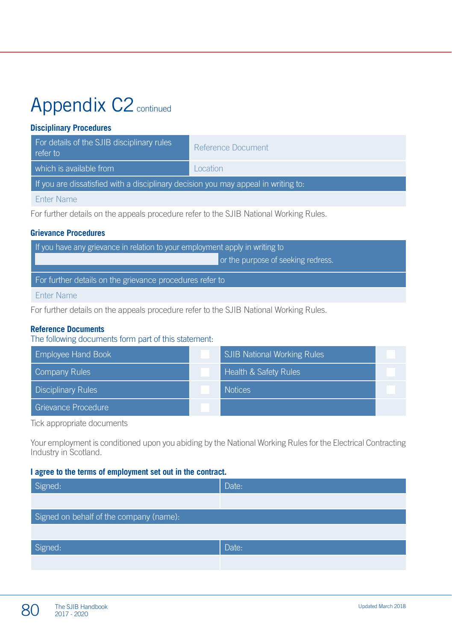# Appendix C<sub>2</sub> continued

#### **Disciplinary Procedures**

| For details of the SJIB disciplinary rules<br>refer to                             | Reference Document |  |
|------------------------------------------------------------------------------------|--------------------|--|
| which is available from                                                            | Location           |  |
| If you are dissatisfied with a disciplinary decision you may appeal in writing to: |                    |  |
|                                                                                    |                    |  |

Enter Name

For further details on the appeals procedure refer to the SJIB National Working Rules.

#### **Grievance Procedures**

| If you have any grievance in relation to your employment apply in writing to |                                    |  |
|------------------------------------------------------------------------------|------------------------------------|--|
|                                                                              | or the purpose of seeking redress. |  |
| For further details on the grievance procedures refer to                     |                                    |  |
| <b>Enter Name</b>                                                            |                                    |  |

For further details on the appeals procedure refer to the SJIB National Working Rules.

#### **Reference Documents**

The following documents form part of this statement:

| <b>Employee Hand Book</b> | <b>SJIB National Working Rules</b> |  |
|---------------------------|------------------------------------|--|
| Company Rules             | <b>Health &amp; Safety Rules</b>   |  |
| <b>Disciplinary Rules</b> | <b>Notices</b>                     |  |
| Grievance Procedure       |                                    |  |

Tick appropriate documents

Your employment is conditioned upon you abiding by the National Working Rules for the Electrical Contracting Industry in Scotland.

#### **I agree to the terms of employment set out in the contract.**

| Signed:                                 | Date: |  |  |
|-----------------------------------------|-------|--|--|
|                                         |       |  |  |
| Signed on behalf of the company (name): |       |  |  |
|                                         |       |  |  |
| Signed:                                 | Date: |  |  |
|                                         |       |  |  |

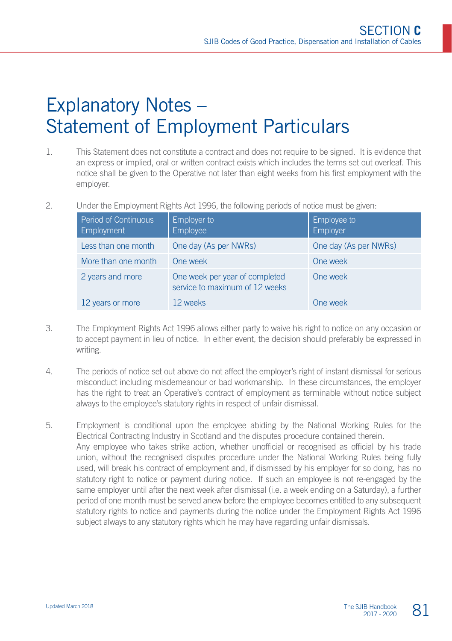# Explanatory Notes – Statement of Employment Particulars

- 1. This Statement does not constitute a contract and does not require to be signed. It is evidence that an express or implied, oral or written contract exists which includes the terms set out overleaf. This notice shall be given to the Operative not later than eight weeks from his first employment with the employer.
- 2. Under the Employment Rights Act 1996, the following periods of notice must be given:

| Period of Continuous<br><b>Employment</b> | Employer to<br>Employee                                          | Employee to<br>Employer |
|-------------------------------------------|------------------------------------------------------------------|-------------------------|
| Less than one month                       | One day (As per NWRs)                                            | One day (As per NWRs)   |
| More than one month                       | One week                                                         | One week                |
| 2 years and more                          | One week per year of completed<br>service to maximum of 12 weeks | One week                |
| 12 years or more                          | 12 weeks                                                         | One week                |

- 3. The Employment Rights Act 1996 allows either party to waive his right to notice on any occasion or to accept payment in lieu of notice. In either event, the decision should preferably be expressed in writing.
- 4. The periods of notice set out above do not affect the employer's right of instant dismissal for serious misconduct including misdemeanour or bad workmanship. In these circumstances, the employer has the right to treat an Operative's contract of employment as terminable without notice subject always to the employee's statutory rights in respect of unfair dismissal.
- 5. Employment is conditional upon the employee abiding by the National Working Rules for the Electrical Contracting Industry in Scotland and the disputes procedure contained therein. Any employee who takes strike action, whether unofficial or recognised as official by his trade union, without the recognised disputes procedure under the National Working Rules being fully used, will break his contract of employment and, if dismissed by his employer for so doing, has no statutory right to notice or payment during notice. If such an employee is not re-engaged by the same employer until after the next week after dismissal (i.e. a week ending on a Saturday), a further period of one month must be served anew before the employee becomes entitled to any subsequent statutory rights to notice and payments during the notice under the Employment Rights Act 1996 subject always to any statutory rights which he may have regarding unfair dismissals.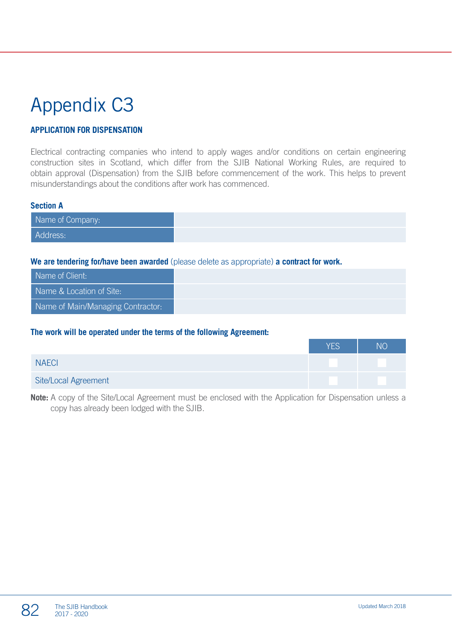# Appendix C3

#### **APPLICATION FOR DISPENSATION**

Electrical contracting companies who intend to apply wages and/or conditions on certain engineering construction sites in Scotland, which differ from the SJIB National Working Rules, are required to obtain approval (Dispensation) from the SJIB before commencement of the work. This helps to prevent misunderstandings about the conditions after work has commenced.

#### **Section A**

#### **We are tendering for/have been awarded** (please delete as appropriate) **a contract for work.**

| Name of Client:                   |  |
|-----------------------------------|--|
| Name & Location of Site:          |  |
| Name of Main/Managing Contractor: |  |

#### **The work will be operated under the terms of the following Agreement:**

|                      | <b>YES</b> | ΝC |
|----------------------|------------|----|
| <b>NAECI</b>         |            |    |
| Site/Local Agreement |            |    |

**Note:** A copy of the Site/Local Agreement must be enclosed with the Application for Dispensation unless a copy has already been lodged with the SJIB.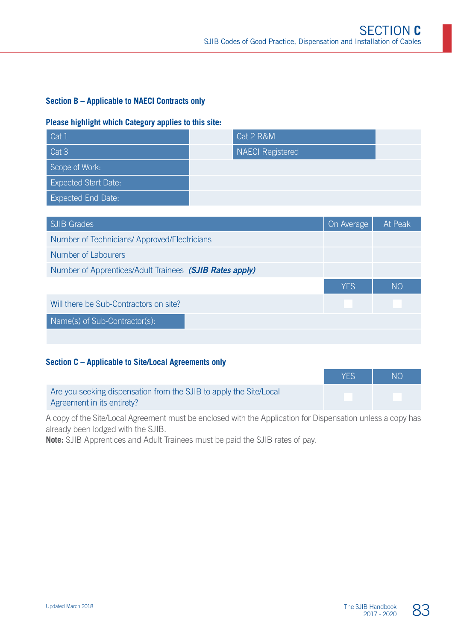#### **Section B – Applicable to NAECI Contracts only**

#### **Please highlight which Category applies to this site:**

| Cat 1                       | Cat 2 R&M        |  |
|-----------------------------|------------------|--|
| Cat <sub>3</sub>            | NAECI Registered |  |
| Scope of Work:              |                  |  |
| <b>Expected Start Date:</b> |                  |  |
| <b>Expected End Date:</b>   |                  |  |

| <b>SJIB Grades</b>                                      | On Average | At Peak   |
|---------------------------------------------------------|------------|-----------|
| Number of Technicians/Approved/Electricians             |            |           |
| Number of Labourers                                     |            |           |
| Number of Apprentices/Adult Trainees (SJIB Rates apply) |            |           |
|                                                         | <b>YES</b> | <b>NO</b> |
| Will there be Sub-Contractors on site?                  |            |           |
| Name(s) of Sub-Contractor(s):                           |            |           |
|                                                         |            |           |

#### **Section C – Applicable to Site/Local Agreements only**

| <b>NO</b> | <b>YES</b> |                                                                    |
|-----------|------------|--------------------------------------------------------------------|
|           |            | Are you seeking dispensation from the SJIB to apply the Site/Local |
|           |            | Agreement in its entirety?                                         |

A copy of the Site/Local Agreement must be enclosed with the Application for Dispensation unless a copy has already been lodged with the SJIB.

**Note:** SJIB Apprentices and Adult Trainees must be paid the SJIB rates of pay.